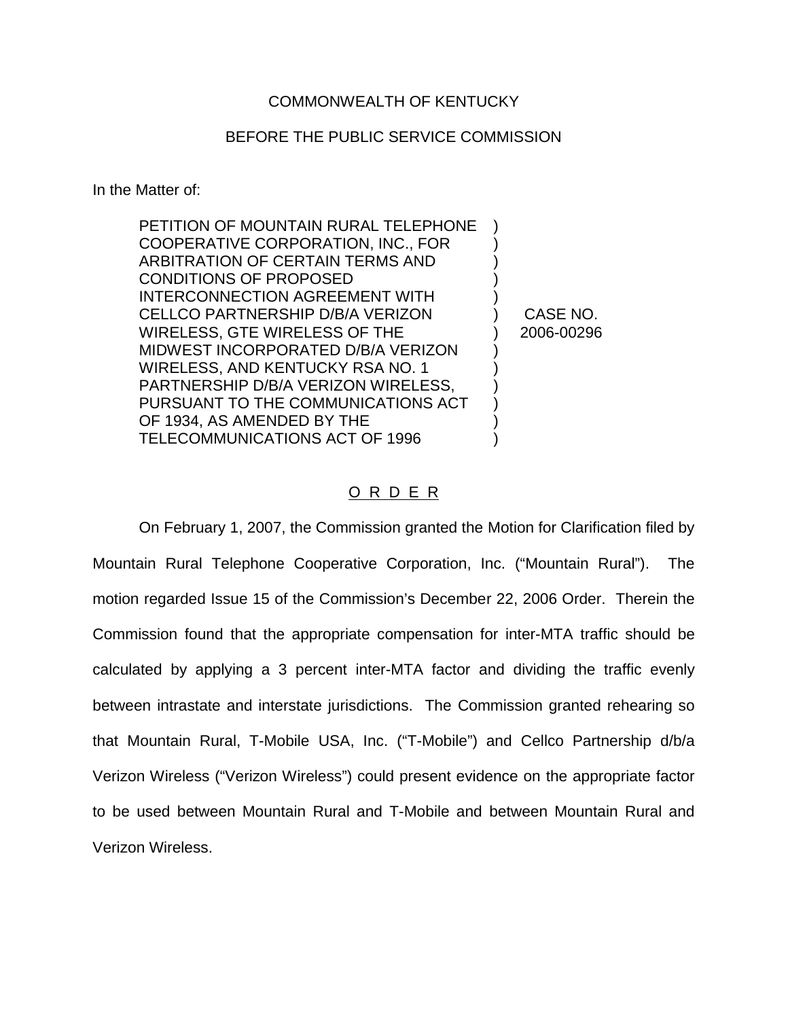## COMMONWEALTH OF KENTUCKY

## BEFORE THE PUBLIC SERVICE COMMISSION

In the Matter of:

| PETITION OF MOUNTAIN RURAL TELEPHONE    |            |
|-----------------------------------------|------------|
| COOPERATIVE CORPORATION, INC., FOR      |            |
| ARBITRATION OF CERTAIN TERMS AND        |            |
| <b>CONDITIONS OF PROPOSED</b>           |            |
| INTERCONNECTION AGREEMENT WITH          |            |
| <b>CELLCO PARTNERSHIP D/B/A VERIZON</b> | CASE NO.   |
| WIRELESS, GTE WIRELESS OF THE           | 2006-00296 |
| MIDWEST INCORPORATED D/B/A VERIZON      |            |
| WIRELESS, AND KENTUCKY RSA NO. 1        |            |
| PARTNERSHIP D/B/A VERIZON WIRELESS,     |            |
| PURSUANT TO THE COMMUNICATIONS ACT      |            |
| OF 1934, AS AMENDED BY THE              |            |
| TELECOMMUNICATIONS ACT OF 1996          |            |

## O R D E R

On February 1, 2007, the Commission granted the Motion for Clarification filed by Mountain Rural Telephone Cooperative Corporation, Inc. ("Mountain Rural"). The motion regarded Issue 15 of the Commission's December 22, 2006 Order. Therein the Commission found that the appropriate compensation for inter-MTA traffic should be calculated by applying a 3 percent inter-MTA factor and dividing the traffic evenly between intrastate and interstate jurisdictions. The Commission granted rehearing so that Mountain Rural, T-Mobile USA, Inc. ("T-Mobile") and Cellco Partnership d/b/a Verizon Wireless ("Verizon Wireless") could present evidence on the appropriate factor to be used between Mountain Rural and T-Mobile and between Mountain Rural and Verizon Wireless.